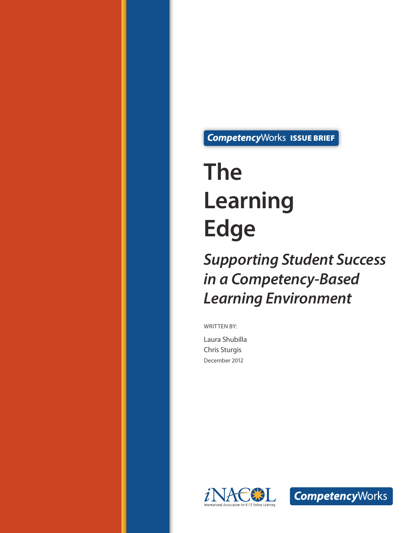CompetencyWorks ISSUE BRIEF

# **The Learning Edge**

*Supporting Student Success in a Competency-Based Learning Environment*

WRITTEN BY:

Laura Shubilla Chris Sturgis December 2012



**Competency**Works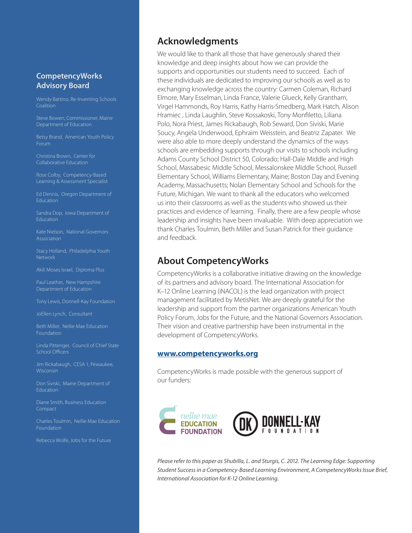#### **CompetencyWorks Advisory Board**

Coalition

Department of Education

Betsy Brand, American Youth Policy Forum

Christina Brown, Center for

Learning & Assessment Specialist

Ed Dennis, Oregon Department of Education

Sandra Dop, Iowa Department of Education

Kate Nielson, National Governors Association

Stacy Holland, Philadelphia Youth Network

Akili Moses Israel, Diploma Plus

Paul Leather, New Hampshire

Tony Lewis, Donnell-Kay Foundation

JoEllen Lynch, Consultant

Foundation

Linda Pittenger, Council of Chief State School Officers

Jim Rickabaugh, CESA 1, Pewaukee, Wisconsin

Don Siviski, Maine Department of Education

Diane Smith, Business Education Compact

Charles Toulmin, Nellie Mae Education Foundation

Rebecca Wolfe, Jobs for the Future

## **Acknowledgments**

We would like to thank all those that have generously shared their knowledge and deep insights about how we can provide the supports and opportunities our students need to succeed. Each of these individuals are dedicated to improving our schools as well as to exchanging knowledge across the country: Carmen Coleman, Richard Elmore, Mary Esselman, Linda France, Valerie Glueck, Kelly Grantham, Virgel Hammonds, Roy Harris, Kathy Harris-Smedberg, Mark Hatch, Alison Hramiec , Linda Laughlin, Steve Kossakoski, Tony Monfiletto, Liliana Polo, Nora Priest, James Rickabaugh, Rob Seward, Don Siviski, Marie Soucy, Angela Underwood, Ephraim Weisstein, and Beatriz Zapater. We were also able to more deeply understand the dynamics of the ways schools are embedding supports through our visits to schools including Adams County School District 50, Colorado; Hall-Dale Middle and High School, Massabesic Middle School, Messalonskee Middle School, Russell Elementary School, Williams Elementary, Maine; Boston Day and Evening Academy, Massachusetts; Nolan Elementary School and Schools for the Future, Michigan. We want to thank all the educators who welcomed us into their classrooms as well as the students who showed us their practices and evidence of learning. Finally, there are a few people whose leadership and insights have been invaluable. With deep appreciation we thank Charles Toulmin, Beth Miller and Susan Patrick for their guidance and feedback.

## **About CompetencyWorks**

CompetencyWorks is a collaborative initiative drawing on the knowledge of its partners and advisory board. The International Association for K–12 Online Learning (iNACOL) is the lead organization with project management facilitated by MetisNet. We are deeply grateful for the leadership and support from the partner organizations American Youth Policy Forum, Jobs for the Future, and the National Governors Association. Their vision and creative partnership have been instrumental in the development of CompetencyWorks.

#### **[www.competencyworks.org](http://www.competencyworks.org)**

CompetencyWorks is made possible with the generous support of our funders:



*Please refer to this paper as Shubilla, L. and Sturgis, C. 2012. The Learning Edge: Supporting Student Success in a Competency-Based Learning Environment, A CompetencyWorks Issue Brief, International Association for K-12 Online Learning.*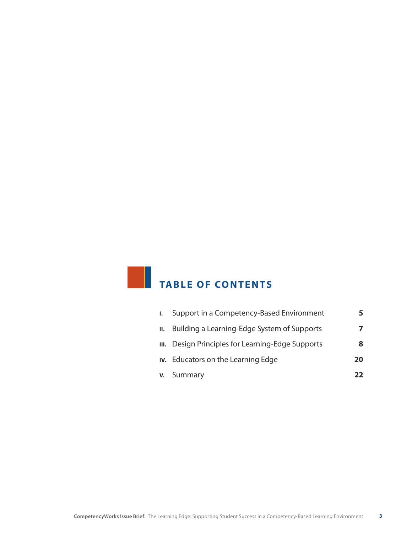# **TABLE OF CONTENTS**

| $\mathbf{L}$ | Support in a Competency-Based Environment         | 5  |
|--------------|---------------------------------------------------|----|
| II.          | Building a Learning-Edge System of Supports       |    |
|              | III. Design Principles for Learning-Edge Supports | 8  |
|              | IV. Educators on the Learning Edge                | 20 |
|              | <b>v.</b> Summary                                 | 22 |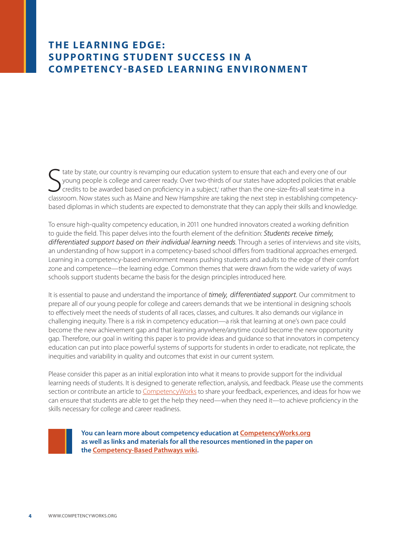## **THE LEARNING EDGE: Supporting Student Success in a Compete ncy -Based Learning Environment**

State by state, our country is revamping our education system to ensure that each and every one of our young people is college and career ready. Over two-thirds of our states have adopted policies that enable credits to be tate by state, our country is revamping our education system to ensure that each and every one of our young people is college and career ready. Over two-thirds of our states have adopted policies that enable credits to be awarded based on proficiency in a subject,<sup>i</sup> rather than the one-size-fits-all seat-time in a based diplomas in which students are expected to demonstrate that they can apply their skills and knowledge.

To ensure high-quality competency education, in 2011 one hundred innovators created a working definition to guide the field. This paper delves into the fourth element of the definition: *Students receive timely, differentiated support based on their individual learning needs*. Through a series of interviews and site visits, an understanding of how support in a competency-based school differs from traditional approaches emerged. Learning in a competency-based environment means pushing students and adults to the edge of their comfort zone and competence—the learning edge. Common themes that were drawn from the wide variety of ways schools support students became the basis for the design principles introduced here.

It is essential to pause and understand the importance of *timely, differentiated support.* Our commitment to prepare all of our young people for college and careers demands that we be intentional in designing schools to effectively meet the needs of students of all races, classes, and cultures. It also demands our vigilance in challenging inequity. There is a risk in competency education—a risk that learning at one's own pace could become the new achievement gap and that learning anywhere/anytime could become the new opportunity gap. Therefore, our goal in writing this paper is to provide ideas and guidance so that innovators in competency education can put into place powerful systems of supports for students in order to eradicate, not replicate, the inequities and variability in quality and outcomes that exist in our current system.

Please consider this paper as an initial exploration into what it means to provide support for the individual learning needs of students. It is designed to generate reflection, analysis, and feedback. Please use the comments section or contribute an article to [CompetencyWorks](http://www.competencyworks.org) to share your feedback, experiences, and ideas for how we can ensure that students are able to get the help they need—when they need it—to achieve proficiency in the skills necessary for college and career readiness.



**You can learn more about competency education at CompetencyWorks.org as well as links and materials for all the resources m[entioned in the paper on](http://www.competencyworks.org) the [Competency-Based Pathways wiki.](https://sites.google.com/site/competencybasedpathways/home/art-and-science-of-designing-competencies)**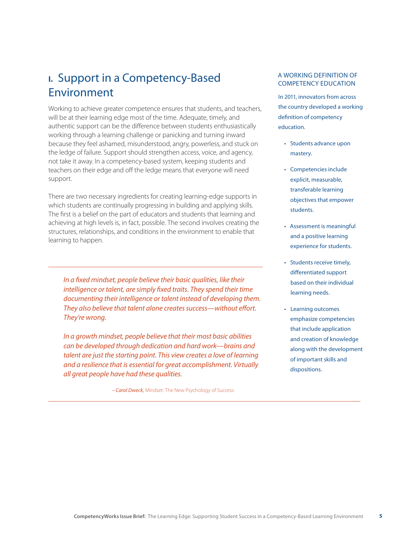# **I.** Support in a Competency-Based Environment

Working to achieve greater competence ensures that students, and teachers, will be at their learning edge most of the time. Adequate, timely, and authentic support can be the difference between students enthusiastically working through a learning challenge or panicking and turning inward because they feel ashamed, misunderstood, angry, powerless, and stuck on the ledge of failure. Support should strengthen access, voice, and agency, not take it away. In a competency-based system, keeping students and teachers on their edge and off the ledge means that everyone will need support.

There are two necessary ingredients for creating learning-edge supports in which students are continually progressing in building and applying skills. The first is a belief on the part of educators and students that learning and achieving at high levels is, in fact, possible. The second involves creating the structures, relationships, and conditions in the environment to enable that learning to happen.

*In a fixed mindset, people believe their basic qualities, like their intelligence or talent, are simply fixed traits. They spend their time documenting their intelligence or talent instead of developing them. They also believe that talent alone creates success—without effort. They're wrong.*

*In a growth mindset, people believe that their most basic abilities can be developed through dedication and hard work—brains and talent are just the starting point. This view creates a love of learning and a resilience that is essential for great accomplishment. Virtually all great people have had these qualities.* 

*– Carol Dweck,* Mindset: The New Psychology of Success

#### A Working Definition of Competency Education

In 2011, innovators from across the country developed a working definition of competency education.

- • Students advance upon mastery.
- • Competencies include explicit, measurable, transferable learning objectives that empower students.
- • Assessment is meaningful and a positive learning experience for students.
- Students receive timely, differentiated support based on their individual learning needs.
- • Learning outcomes emphasize competencies that include application and creation of knowledge along with the development of important skills and dispositions.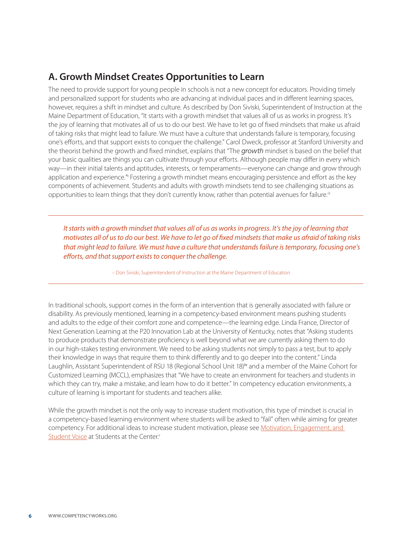# **A. Growth Mindset Creates Opportunities to Learn**

The need to provide support for young people in schools is not a new concept for educators. Providing timely and personalized support for students who are advancing at individual paces and in different learning spaces, however, requires a shift in mindset and culture. As described by Don Siviski, Superintendent of Instruction at the Maine Department of Education, "It starts with a growth mindset that values all of us as works in progress. It's the joy of learning that motivates all of us to do our best. We have to let go of fixed mindsets that make us afraid of taking risks that might lead to failure. We must have a culture that understands failure is temporary, focusing one's efforts, and that support exists to conquer the challenge." Carol Dweck, professor at Stanford University and the theorist behind the growth and fixed mindset, explains that "The *growth* mindset is based on the belief that your basic qualities are things you can cultivate through your efforts. Although people may differ in every which way—in their initial talents and aptitudes, interests, or temperaments—everyone can change and grow through application and experience.<sup>"</sup> Fostering a growth mindset means encouraging persistence and effort as the key components of achievement. Students and adults with growth mindsets tend to see challenging situations as opportunities to learn things that they don't currently know, rather than potential avenues for failure.<sup>iii</sup>

*It starts with a growth mindset that values all of us as works in progress. It's the joy of learning that motivates all of us to do our best. We have to let go of fixed mindsets that make us afraid of taking risks that might lead to failure. We must have a culture that understands failure is temporary, focusing one's efforts, and that support exists to conquer the challenge.* 

– Don Siviski, Superintendent of Instruction at the Maine Department of Education

In traditional schools, support comes in the form of an intervention that is generally associated with failure or disability. As previously mentioned, learning in a competency-based environment means pushing students and adults to the edge of their comfort zone and competence—the learning edge. Linda France, Director of Next Generation Learning at the P20 Innovation Lab at the University of Kentucky, notes that "Asking students to produce products that demonstrate proficiency is well beyond what we are currently asking them to do in our high-stakes testing environment. We need to be asking students not simply to pass a test, but to apply their knowledge in ways that require them to think differently and to go deeper into the content." Linda Laughlin, Assistant Superintendent of RSU 18 (Regional School Unit 18)iv and a member of the Maine Cohort for Customized Learning (MCCL), emphasizes that "We have to create an environment for teachers and students in which they can try, make a mistake, and learn how to do it better." In competency education environments, a culture of learning is important for students and teachers alike.

While the growth mindset is not the only way to increase student motivation, this type of mindset is crucial in a competency-based learning environment where students will be asked to "fail" often while aiming for greater competency. For additional ideas to increase student motivation, please see Motivation, Engagement, and [Student Voice](http://www.studentsatthecenter.org/papers/motivation-engagement-and-student-voice.) at Students at the Center.<sup>v</sup>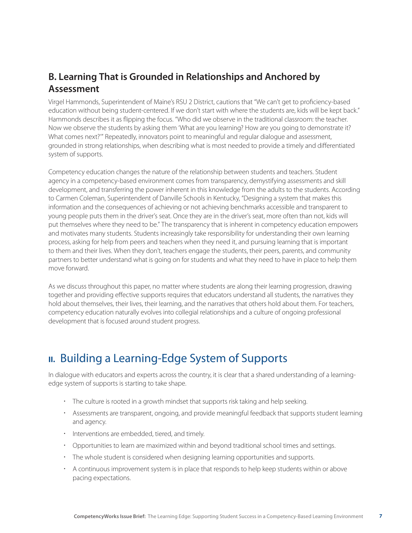# **B. Learning That is Grounded in Relationships and Anchored by Assessment**

Virgel Hammonds, Superintendent of Maine's RSU 2 District, cautions that "We can't get to proficiency-based education without being student-centered. If we don't start with where the students are, kids will be kept back." Hammonds describes it as flipping the focus. "Who did we observe in the traditional classroom: the teacher. Now we observe the students by asking them 'What are you learning? How are you going to demonstrate it? What comes next?'" Repeatedly, innovators point to meaningful and regular dialogue and assessment, grounded in strong relationships, when describing what is most needed to provide a timely and differentiated system of supports.

Competency education changes the nature of the relationship between students and teachers. Student agency in a competency-based environment comes from transparency, demystifying assessments and skill development, and transferring the power inherent in this knowledge from the adults to the students. According to Carmen Coleman, Superintendent of Danville Schools in Kentucky, "Designing a system that makes this information and the consequences of achieving or not achieving benchmarks accessible and transparent to young people puts them in the driver's seat. Once they are in the driver's seat, more often than not, kids will put themselves where they need to be." The transparency that is inherent in competency education empowers and motivates many students. Students increasingly take responsibility for understanding their own learning process, asking for help from peers and teachers when they need it, and pursuing learning that is important to them and their lives. When they don't, teachers engage the students, their peers, parents, and community partners to better understand what is going on for students and what they need to have in place to help them move forward.

As we discuss throughout this paper, no matter where students are along their learning progression, drawing together and providing effective supports requires that educators understand all students, the narratives they hold about themselves, their lives, their learning, and the narratives that others hold about them. For teachers, competency education naturally evolves into collegial relationships and a culture of ongoing professional development that is focused around student progress.

# **II.** Building a Learning-Edge System of Supports

In dialogue with educators and experts across the country, it is clear that a shared understanding of a learningedge system of supports is starting to take shape.

- The culture is rooted in a growth mindset that supports risk taking and help seeking.
- Assessments are transparent, ongoing, and provide meaningful feedback that supports student learning and agency.
- $\cdot$  Interventions are embedded, tiered, and timely.
- Opportunities to learn are maximized within and beyond traditional school times and settings.
- The whole student is considered when designing learning opportunities and supports.
- A continuous improvement system is in place that responds to help keep students within or above pacing expectations.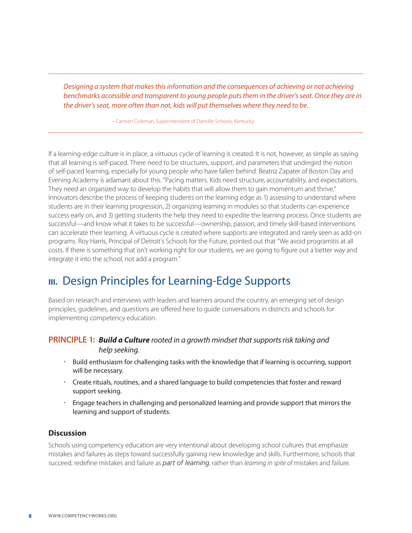*Designing a system that makes this information and the consequences of achieving or not achieving benchmarks accessible and transparent to young people puts them in the driver's seat. Once they are in the driver's seat, more often than not, kids will put themselves where they need to be.* 

– Carmen Coleman, Superintendent of Danville Schools, Kentucky

If a learning-edge culture is in place, a virtuous cycle of learning is created. It is not, however, as simple as saying that all learning is self-paced. There need to be structures, support, and parameters that undergird the notion of self-paced learning, especially for young people who have fallen behind. Beatriz Zapater of Boston Day and Evening Academy is adamant about this. "Pacing matters. Kids need structure, accountability, and expectations. They need an organized way to develop the habits that will allow them to gain momentum and thrive." Innovators describe the process of keeping students on the learning edge as 1) assessing to understand where students are in their learning progression, 2) organizing learning in modules so that students can experience success early on, and 3) getting students the help they need to expedite the learning process. Once students are successful—and know what it takes to be successful—ownership, passion, and timely skill-based interventions can accelerate their learning. A virtuous cycle is created where supports are integrated and rarely seen as add-on programs. Roy Harris, Principal of Detroit's Schools for the Future, pointed out that "We avoid programitis at all costs. If there is something that isn't working right for our students, we are going to figure out a better way and integrate it into the school, not add a program."

# **III.** Design Principles for Learning-Edge Supports

Based on research and interviews with leaders and learners around the country, an emerging set of design principles, guidelines, and questions are offered here to guide conversations in districts and schools for implementing competency education.

#### **PRINCIPLE 1:** *Build a Culture rooted in a growth mindset that supports risk taking and help seeking.*

- Build enthusiasm for challenging tasks with the knowledge that if learning is occurring, support will be necessary.
- Create rituals, routines, and a shared language to build competencies that foster and reward support seeking.
- Engage teachers in challenging and personalized learning and provide support that mirrors the learning and support of students.

#### **Discussion**

Schools using competency education are very intentional about developing school cultures that emphasize mistakes and failures as steps toward successfully gaining new knowledge and skills. Furthermore, schools that succeed, redefine mistakes and failure as *part of learning*, rather than *learning in spite of* mistakes and failure.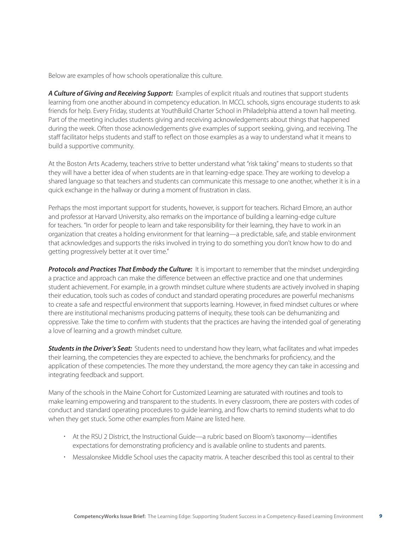Below are examples of how schools operationalize this culture.

*A Culture of Giving and Receiving Support:* Examples of explicit rituals and routines that support students learning from one another abound in competency education. In MCCL schools, signs encourage students to ask friends for help. Every Friday, students at YouthBuild Charter School in Philadelphia attend a town hall meeting. Part of the meeting includes students giving and receiving acknowledgements about things that happened during the week. Often those acknowledgements give examples of support seeking, giving, and receiving. The staff facilitator helps students and staff to reflect on those examples as a way to understand what it means to build a supportive community.

At the Boston Arts Academy, teachers strive to better understand what "risk taking" means to students so that they will have a better idea of when students are in that learning-edge space. They are working to develop a shared language so that teachers and students can communicate this message to one another, whether it is in a quick exchange in the hallway or during a moment of frustration in class.

Perhaps the most important support for students, however, is support for teachers. Richard Elmore, an author and professor at Harvard University, also remarks on the importance of building a learning-edge culture for teachers. "In order for people to learn and take responsibility for their learning, they have to work in an organization that creates a holding environment for that learning—a predictable, safe, and stable environment that acknowledges and supports the risks involved in trying to do something you don't know how to do and getting progressively better at it over time."

**Protocols and Practices That Embody the Culture:** It is important to remember that the mindset undergirding a practice and approach can make the difference between an effective practice and one that undermines student achievement. For example, in a growth mindset culture where students are actively involved in shaping their education, tools such as codes of conduct and standard operating procedures are powerful mechanisms to create a safe and respectful environment that supports learning. However, in fixed mindset cultures or where there are institutional mechanisms producing patterns of inequity, these tools can be dehumanizing and oppressive. Take the time to confirm with students that the practices are having the intended goal of generating a love of learning and a growth mindset culture.

*Students in the Driver's Seat:* Students need to understand how they learn, what facilitates and what impedes their learning, the competencies they are expected to achieve, the benchmarks for proficiency, and the application of these competencies. The more they understand, the more agency they can take in accessing and integrating feedback and support.

Many of the schools in the Maine Cohort for Customized Learning are saturated with routines and tools to make learning empowering and transparent to the students. In every classroom, there are posters with codes of conduct and standard operating procedures to guide learning, and flow charts to remind students what to do when they get stuck. Some other examples from Maine are listed here.

- At the RSU 2 District, the Instructional Guide—a rubric based on Bloom's taxonomy—identifies expectations for demonstrating proficiency and is available online to students and parents.
- Messalonskee Middle School uses the capacity matrix. A teacher described this tool as central to their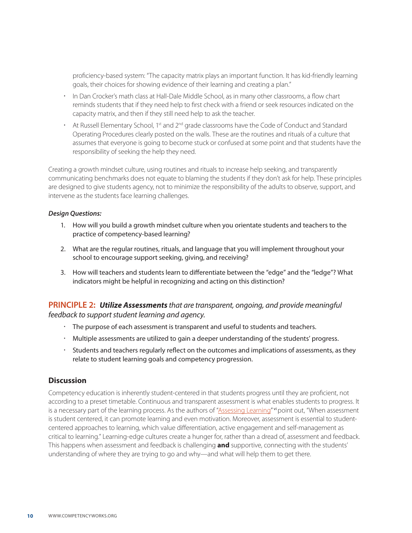proficiency-based system: "The capacity matrix plays an important function. It has kid-friendly learning goals, their choices for showing evidence of their learning and creating a plan."

- In Dan Crocker's math class at Hall-Dale Middle School, as in many other classrooms, a flow chart reminds students that if they need help to first check with a friend or seek resources indicated on the capacity matrix, and then if they still need help to ask the teacher.
- $\cdot$  At Russell Elementary School, 1st and 2<sup>nd</sup> grade classrooms have the Code of Conduct and Standard Operating Procedures clearly posted on the walls. These are the routines and rituals of a culture that assumes that everyone is going to become stuck or confused at some point and that students have the responsibility of seeking the help they need.

Creating a growth mindset culture, using routines and rituals to increase help seeking, and transparently communicating benchmarks does not equate to blaming the students if they don't ask for help. These principles are designed to give students agency, not to minimize the responsibility of the adults to observe, support, and intervene as the students face learning challenges.

#### *Design Questions:*

- 1. How will you build a growth mindset culture when you orientate students and teachers to the practice of competency-based learning?
- 2. What are the regular routines, rituals, and language that you will implement throughout your school to encourage support seeking, giving, and receiving?
- 3. How will teachers and students learn to differentiate between the "edge" and the "ledge"? What indicators might be helpful in recognizing and acting on this distinction?

**PRINCIPLE 2:** *Utilize Assessments that are transparent, ongoing, and provide meaningful feedback to support student learning and agency.*

- The purpose of each assessment is transparent and useful to students and teachers.
- Multiple assessments are utilized to gain a deeper understanding of the students' progress.
- \* Students and teachers regularly reflect on the outcomes and implications of assessments, as they relate to student learning goals and competency progression.

#### **Discussion**

Competency education is inherently student-centered in that students progress until they are proficient, not according to a preset timetable. Continuous and transparent assessment is what enables students to progress. It is a necessary part of the learning process. As the authors of ["Assessing Learning"](http://www.studentsatthecenter.org/papers/assessing-learning) vi point out, "When assessment is student centered, it can promote learning and even motivation. Moreover, assessment is essential to studentcentered approaches to learning, which value differentiation, active engagement and self-management as critical to learning." Learning-edge cultures create a hunger for, rather than a dread of, assessment and feedback. This happens when assessment and feedback is challenging **and** supportive, connecting with the students' understanding of where they are trying to go and why—and what will help them to get there.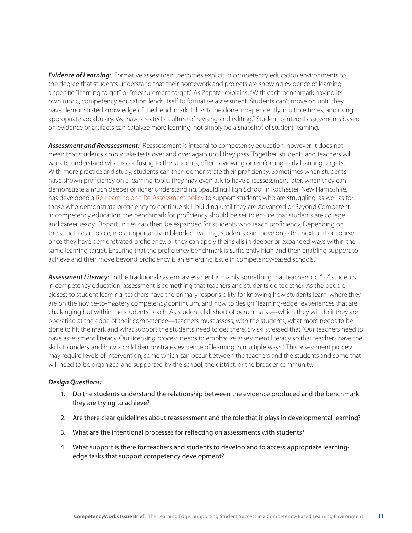**Evidence of Learning:** Formative assessment becomes explicit in competency education environments to the degree that students understand that their homework and projects are showing evidence of learning a specific "learning target" or "measurement target." As Zapater explains, "With each benchmark having its own rubric, competency education lends itself to formative assessment. Students can't move on until they have demonstrated knowledge of the benchmark. It has to be done independently, multiple times, and using appropriate vocabulary. We have created a culture of revising and editing." Student-centered assessments based on evidence or artifacts can catalyze more learning, not simply be a snapshot of student learning.

*Assessment and Reassessment:* Reassessment is integral to competency education; however, it does not mean that students simply take tests over and over again until they pass. Together, students and teachers will work to understand what is confusing to the students, often reviewing or reinforcing early learning targets. With more practice and study, students can then demonstrate their proficiency. Sometimes when students have shown proficiency on a learning topic, they may even ask to have a reassessment later, when they can demonstrate a much deeper or richer understanding. Spaulding High School in Rochester, New Hampshire, has developed a [Re-Learning and Re-Assessment policy](https://sites.google.com/site/newtoshsfaq/) to support students who are struggling, as well as for those who demonstrate proficiency to continue skill building until they are Advanced or Beyond Competent. In competency education, the benchmark for proficiency should be set to ensure that students are college and career ready. Opportunities can then be expanded for students who reach proficiency. Depending on the structures in place, most importantly in blended learning, students can move onto the next unit or course once they have demonstrated proficiency, or they can apply their skills in deeper or expanded ways within the same learning target. Ensuring that the proficiency benchmark is sufficiently high and then enabling support to achieve and then move beyond proficiency is an emerging issue in competency-based schools.

*Assessment Literacy:* In the traditional system, assessment is mainly something that teachers do "to" students. In competency education, assessment is something that teachers and students do together. As the people closest to student learning, teachers have the primary responsibility for knowing how students learn, where they are on the novice-to-mastery competency continuum, and how to design "learning-edge" experiences that are challenging but within the students' reach. As students fall short of benchmarks—which they will do if they are operating at the edge of their competence—teachers must assess, with the students, what more needs to be done to hit the mark and what support the students need to get there. Siviski stressed that "Our teachers need to have assessment literacy. Our licensing process needs to emphasize assessment literacy so that teachers have the skills to understand how a child demonstrates evidence of learning in multiple ways." This assessment process may require levels of intervention, some which can occur between the teachers and the students and some that will need to be organized and supported by the school, the district, or the broader community.

#### *Design Questions:*

- 1. Do the students understand the relationship between the evidence produced and the benchmark they are trying to achieve?
- 2. Are there clear guidelines about reassessment and the role that it plays in developmental learning?
- 3. What are the intentional processes for reflecting on assessments with students?
- 4. What support is there for teachers and students to develop and to access appropriate learningedge tasks that support competency development?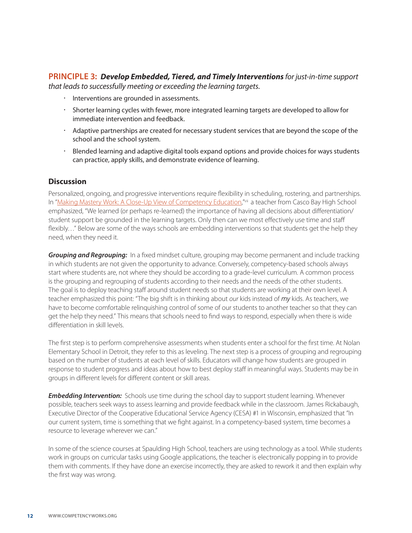**PRINCIPLE 3:** *Develop Embedded, Tiered, and Timely Interventions for just-in-time support that leads to successfully meeting or exceeding the learning targets.* 

- $\cdot$  Interventions are grounded in assessments.
- Shorter learning cycles with fewer, more integrated learning targets are developed to allow for immediate intervention and feedback.
- Adaptive partnerships are created for necessary student services that are beyond the scope of the school and the school system.
- Blended learning and adaptive digital tools expand options and provide choices for ways students can practice, apply skills, and demonstrate evidence of learning.

#### **Discussion**

Personalized, ongoing, and progressive interventions require flexibility in scheduling, rostering, and partnerships. In ["Making Mastery Work: A Close-Up View of Competency Education](http://www.competencyworks.org/resources/making-mastery-work/),"vill a teacher from Casco Bay High School emphasized, "We learned (or perhaps re-learned) the importance of having all decisions about differentiation/ student support be grounded in the learning targets. Only then can we most effectively use time and staff flexibly..." Below are some of the ways schools are embedding interventions so that students get the help they need, when they need it.

**Grouping and Regrouping:** In a fixed mindset culture, grouping may become permanent and include tracking in which students are not given the opportunity to advance. Conversely, competency-based schools always start where students are, not where they should be according to a grade-level curriculum. A common process is the grouping and regrouping of students according to their needs and the needs of the other students. The goal is to deploy teaching staff around student needs so that students are working at their own level. A teacher emphasized this point: "The big shift is in thinking about *our* kids instead of *my* kids. As teachers, we have to become comfortable relinquishing control of some of our students to another teacher so that they can get the help they need." This means that schools need to find ways to respond, especially when there is wide differentiation in skill levels.

The first step is to perform comprehensive assessments when students enter a school for the first time. At Nolan Elementary School in Detroit, they refer to this as leveling. The next step is a process of grouping and regrouping based on the number of students at each level of skills. Educators will change how students are grouped in response to student progress and ideas about how to best deploy staff in meaningful ways. Students may be in groups in different levels for different content or skill areas.

**Embedding Intervention:** Schools use time during the school day to support student learning. Whenever possible, teachers seek ways to assess learning and provide feedback while in the classroom. James Rickabaugh, Executive Director of the Cooperative Educational Service Agency (CESA) #1 in Wisconsin, emphasized that "In our current system, time is something that we fight against. In a competency-based system, time becomes a resource to leverage wherever we can."

In some of the science courses at Spaulding High School, teachers are using technology as a tool. While students work in groups on curricular tasks using Google applications, the teacher is electronically popping in to provide them with comments. If they have done an exercise incorrectly, they are asked to rework it and then explain why the first way was wrong.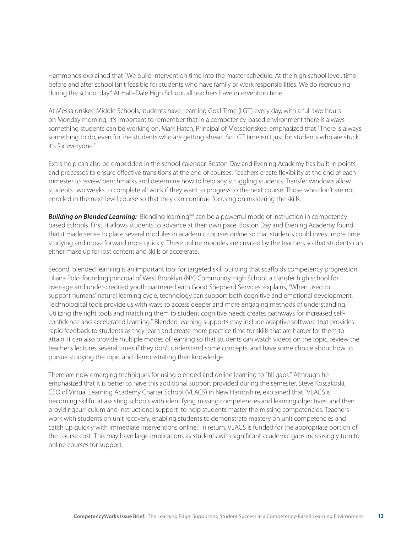Hammonds explained that "We build intervention time into the master schedule. At the high school level, time before and after school isn't feasible for students who have family or work responsibilities. We do regrouping during the school day." At Hall–Dale High School, all teachers have intervention time.

At Messalonskee Middle Schools, students have Learning Goal Time (LGT) every day, with a full two hours on Monday morning. It's important to remember that in a competency-based environment there is always something students can be working on. Mark Hatch, Principal of Messalonskee, emphasized that "There is always something to do, even for the students who are getting ahead. So LGT time isn't just for students who are stuck. It's for everyone."

Extra help can also be embedded in the school calendar. Boston Day and Evening Academy has built-in points and processes to ensure effective transitions at the end of courses. Teachers create flexibility at the end of each trimester to review benchmarks and determine how to help any struggling students. Transfer windows allow students two weeks to complete all work if they want to progress to the next course. Those who don't are not enrolled in the next-level course so that they can continue focusing on mastering the skills.

**Building on Blended Learning:** Blending learning<sup>viii</sup> can be a powerful mode of instruction in competencybased schools. First, it allows students to advance at their own pace. Boston Day and Evening Academy found that it made sense to place several modules in academic courses online so that students could invest more time studying and move forward more quickly. These online modules are created by the teachers so that students can either make up for lost content and skills or accelerate.

Second, blended learning is an important tool for targeted skill building that scaffolds competency progression. Liliana Polo, founding principal of West Brooklyn (NY) Community High School, a transfer high school for over-age and under-credited youth partnered with Good Shepherd Services, explains, "When used to support humans' natural learning cycle, technology can support both cognitive and emotional development. Technological tools provide us with ways to access deeper and more engaging methods of understanding. Utilizing the right tools and matching them to student cognitive needs creates pathways for increased selfconfidence and accelerated learning." Blended learning supports may include adaptive software that provides rapid feedback to students as they learn and create more practice time for skills that are harder for them to attain. It can also provide multiple modes of learning so that students can watch videos on the topic, review the teacher's lectures several times if they don't understand some concepts, and have some choice about how to pursue studying the topic and demonstrating their knowledge.

There are now emerging techniques for using blended and online learning to "fill gaps." Although he emphasized that it is better to have this additional support provided during the semester, Steve Kossakoski, CEO of Virtual Learning Academy Charter School (VLACS) in New Hampshire, explained that "VLACS is becoming skillful at assisting schools with identifying missing competencies and learning objectives, and then providingcurriculum and instructional support to help students master the missing competencies. Teachers work with students on unit recovery, enabling students to demonstrate mastery on unit competencies and catch up quickly with immediate interventions online." In return, VLACS is funded for the appropriate portion of the course cost. This may have large implications as students with significant academic gaps increasingly turn to online courses for support.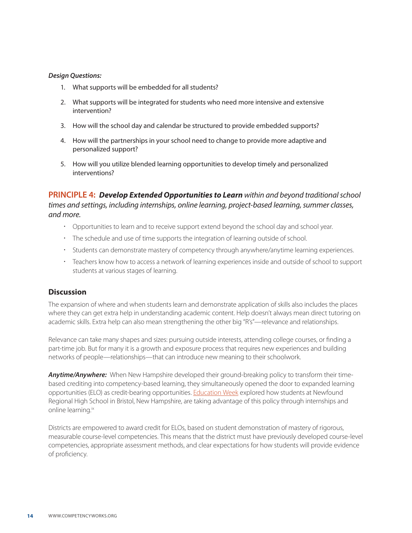#### *Design Questions:*

- 1. What supports will be embedded for all students?
- 2. What supports will be integrated for students who need more intensive and extensive intervention?
- 3. How will the school day and calendar be structured to provide embedded supports?
- 4. How will the partnerships in your school need to change to provide more adaptive and personalized support?
- 5. How will you utilize blended learning opportunities to develop timely and personalized interventions?

**PRINCIPLE 4:** *Develop Extended Opportunities to Learn within and beyond traditional school times and settings, including internships, online learning, project-based learning, summer classes, and more.*

- Opportunities to learn and to receive support extend beyond the school day and school year.
- $\cdot$  The schedule and use of time supports the integration of learning outside of school.
- Students can demonstrate mastery of competency through anywhere/anytime learning experiences.
- Teachers know how to access a network of learning experiences inside and outside of school to support students at various stages of learning.

#### **Discussion**

The expansion of where and when students learn and demonstrate application of skills also includes the places where they can get extra help in understanding academic content. Help doesn't always mean direct tutoring on academic skills. Extra help can also mean strengthening the other big "R's"—relevance and relationships.

Relevance can take many shapes and sizes: pursuing outside interests, attending college courses, or finding a part-time job. But for many it is a growth and exposure process that requires new experiences and building networks of people—relationships—that can introduce new meaning to their schoolwork.

*Anytime/Anywhere:* When New Hampshire developed their ground-breaking policy to transform their timebased crediting into competency-based learning, they simultaneously opened the door to expanded learning opportunities (ELO) as credit-bearing opportunities. [Education Week](http://www.edweek.org/ew/articles/2012/02/08/20proficiency_ep.h31.html) explored how students at Newfound Regional High School in Bristol, New Hampshire, are taking advantage of this policy through internships and online learning.<sup>ix</sup>

Districts are empowered to award credit for ELOs, based on student demonstration of mastery of rigorous, measurable course-level competencies. This means that the district must have previously developed course-level competencies, appropriate assessment methods, and clear expectations for how students will provide evidence of proficiency.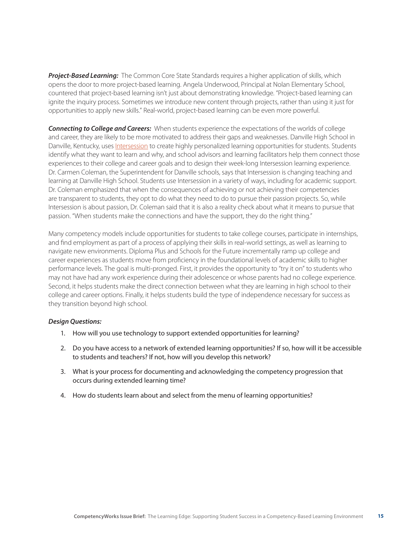**Project-Based Learning:** The Common Core State Standards requires a higher application of skills, which opens the door to more project-based learning. Angela Underwood, Principal at Nolan Elementary School, countered that project-based learning isn't just about demonstrating knowledge. "Project-based learning can ignite the inquiry process. Sometimes we introduce new content through projects, rather than using it just for opportunities to apply new skills." Real-world, project-based learning can be even more powerful.

*Connecting to College and Careers:* When students experience the expectations of the worlds of college and career, they are likely to be more motivated to address their gaps and weaknesses. Danville High School in Danville, Kentucky, uses [Intersession](http://www.dhsintersession.org/category/learning_at_dhs/) to create highly personalized learning opportunities for students. Students identify what they want to learn and why, and school advisors and learning facilitators help them connect those experiences to their college and career goals and to design their week-long Intersession learning experience. Dr. Carmen Coleman, the Superintendent for Danville schools, says that Intersession is changing teaching and learning at Danville High School. Students use Intersession in a variety of ways, including for academic support. Dr. Coleman emphasized that when the consequences of achieving or not achieving their competencies are transparent to students, they opt to do what they need to do to pursue their passion projects. So, while Intersession is about passion, Dr. Coleman said that it is also a reality check about what it means to pursue that passion. "When students make the connections and have the support, they do the right thing."

Many competency models include opportunities for students to take college courses, participate in internships, and find employment as part of a process of applying their skills in real-world settings, as well as learning to navigate new environments. Diploma Plus and Schools for the Future incrementally ramp up college and career experiences as students move from proficiency in the foundational levels of academic skills to higher performance levels. The goal is multi-pronged. First, it provides the opportunity to "try it on" to students who may not have had any work experience during their adolescence or whose parents had no college experience. Second, it helps students make the direct connection between what they are learning in high school to their college and career options. Finally, it helps students build the type of independence necessary for success as they transition beyond high school.

#### *Design Questions:*

- 1. How will you use technology to support extended opportunities for learning?
- 2. Do you have access to a network of extended learning opportunities? If so, how will it be accessible to students and teachers? If not, how will you develop this network?
- 3. What is your process for documenting and acknowledging the competency progression that occurs during extended learning time?
- 4. How do students learn about and select from the menu of learning opportunities?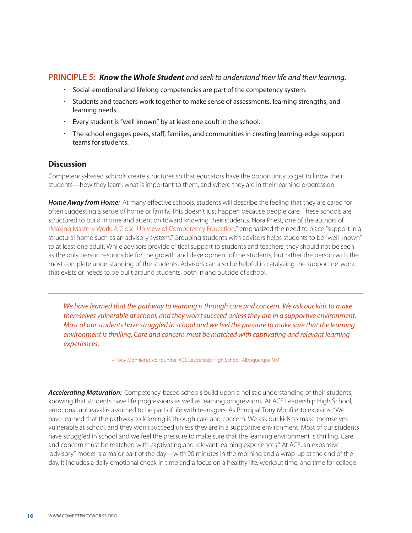#### **PRINCIPLE 5:** *Know the Whole Student and seek to understand their life and their learning.*

- Social-emotional and lifelong competencies are part of the competency system.
- Students and teachers work together to make sense of assessments, learning strengths, and learning needs.
- Every student is "well known" by at least one adult in the school.
- The school engages peers, staff, families, and communities in creating learning-edge support teams for students.

#### **Discussion**

Competency-based schools create structures so that educators have the opportunity to get to know their students—how they learn, what is important to them, and where they are in their learning progression.

*Home Away from Home:* At many effective schools, students will describe the feeling that they are cared for, often suggesting a sense of home or family. This doesn't just happen because people care. These schools are structured to build in time and attention toward knowing their students. Nora Priest, one of the authors of ["Making Mastery Work: A Close-Up View of Competency Education](http://www.competencyworks.org/resources/making-mastery-work/)," emphasized the need to place "support in a structural home such as an advisory system." Grouping students with advisors helps students to be "well known" to at least one adult. While advisors provide critical support to students and teachers, they should not be seen as the only person responsible for the growth and development of the students, but rather the person with the most complete understanding of the students. Advisors can also be helpful in catalyzing the support network that exists or needs to be built around students, both in and outside of school.

*We have learned that the pathway to learning is through care and concern. We ask our kids to make themselves vulnerable at school, and they won't succeed unless they are in a supportive environment. Most of our students have struggled in school and we feel the pressure to make sure that the learning environment is thrilling. Care and concern must be matched with captivating and relevant learning experiences.* 

– Tony Monfiletto, co-founder, ACE Leadership High School, Albuquerque NM

*Accelerating Maturation:* Competency-based schools build upon a holistic understanding of their students, knowing that students have life progressions as well as learning progressions. At ACE Leadership High School, emotional upheaval is assumed to be part of life with teenagers. As Principal Tony Monfiletto explains, "We have learned that the pathway to learning is through care and concern. We ask our kids to make themselves vulnerable at school, and they won't succeed unless they are in a supportive environment. Most of our students have struggled in school and we feel the pressure to make sure that the learning environment is thrilling. Care and concern must be matched with captivating and relevant learning experiences." At ACE, an expansive "advisory" model is a major part of the day—with 90 minutes in the morning and a wrap-up at the end of the day. It includes a daily emotional check-in time and a focus on a healthy life, workout time, and time for college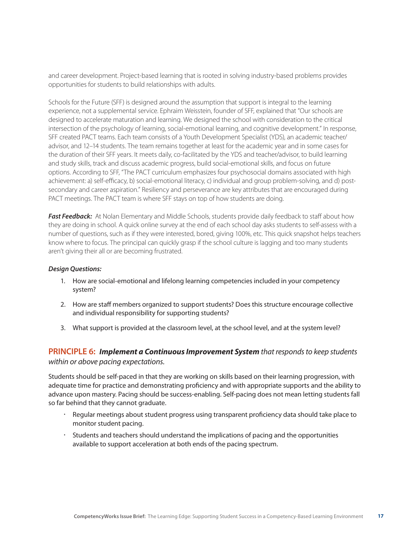and career development. Project-based learning that is rooted in solving industry-based problems provides opportunities for students to build relationships with adults.

Schools for the Future (SFF) is designed around the assumption that support is integral to the learning experience, not a supplemental service. Ephraim Weisstein, founder of SFF, explained that "Our schools are designed to accelerate maturation and learning. We designed the school with consideration to the critical intersection of the psychology of learning, social-emotional learning, and cognitive development." In response, SFF created PACT teams. Each team consists of a Youth Development Specialist (YDS), an academic teacher/ advisor, and 12–14 students. The team remains together at least for the academic year and in some cases for the duration of their SFF years. It meets daily, co-facilitated by the YDS and teacher/advisor, to build learning and study skills, track and discuss academic progress, build social-emotional skills, and focus on future options. According to SFF, "The PACT curriculum emphasizes four psychosocial domains associated with high achievement: a) self-efficacy, b) social-emotional literacy, c) individual and group problem-solving, and d) postsecondary and career aspiration." Resiliency and perseverance are key attributes that are encouraged during PACT meetings. The PACT team is where SFF stays on top of how students are doing.

**Fast Feedback:** At Nolan Elementary and Middle Schools, students provide daily feedback to staff about how they are doing in school. A quick online survey at the end of each school day asks students to self-assess with a number of questions, such as if they were interested, bored, giving 100%, etc. This quick snapshot helps teachers know where to focus. The principal can quickly grasp if the school culture is lagging and too many students aren't giving their all or are becoming frustrated.

#### *Design Questions:*

- 1. How are social-emotional and lifelong learning competencies included in your competency system?
- 2. How are staff members organized to support students? Does this structure encourage collective and individual responsibility for supporting students?
- 3. What support is provided at the classroom level, at the school level, and at the system level?

#### **PRINCIPLE 6:** *Implement a Continuous Improvement System that responds to keep students within or above pacing expectations.*

Students should be self-paced in that they are working on skills based on their learning progression, with adequate time for practice and demonstrating proficiency and with appropriate supports and the ability to advance upon mastery. Pacing should be success-enabling. Self-pacing does not mean letting students fall so far behind that they cannot graduate.

- Regular meetings about student progress using transparent proficiency data should take place to monitor student pacing.
- Students and teachers should understand the implications of pacing and the opportunities available to support acceleration at both ends of the pacing spectrum.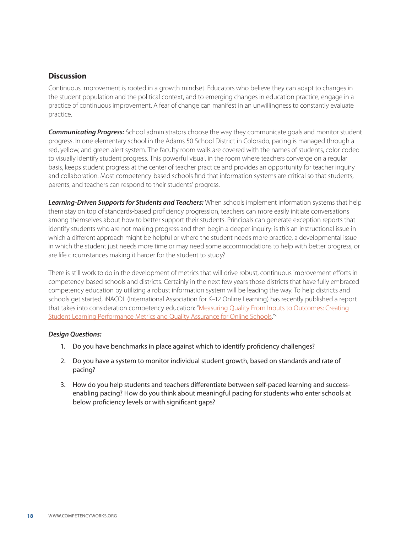#### **Discussion**

Continuous improvement is rooted in a growth mindset. Educators who believe they can adapt to changes in the student population and the political context, and to emerging changes in education practice, engage in a practice of continuous improvement. A fear of change can manifest in an unwillingness to constantly evaluate practice.

*Communicating Progress:* School administrators choose the way they communicate goals and monitor student progress. In one elementary school in the Adams 50 School District in Colorado, pacing is managed through a red, yellow, and green alert system. The faculty room walls are covered with the names of students, color-coded to visually identify student progress. This powerful visual, in the room where teachers converge on a regular basis, keeps student progress at the center of teacher practice and provides an opportunity for teacher inquiry and collaboration. Most competency-based schools find that information systems are critical so that students, parents, and teachers can respond to their students' progress.

*Learning-Driven Supports for Students and Teachers:* When schools implement information systems that help them stay on top of standards-based proficiency progression, teachers can more easily initiate conversations among themselves about how to better support their students. Principals can generate exception reports that identify students who are not making progress and then begin a deeper inquiry: is this an instructional issue in which a different approach might be helpful or where the student needs more practice, a developmental issue in which the student just needs more time or may need some accommodations to help with better progress, or are life circumstances making it harder for the student to study?

There is still work to do in the development of metrics that will drive robust, continuous improvement efforts in competency-based schools and districts. Certainly in the next few years those districts that have fully embraced competency education by utilizing a robust information system will be leading the way. To help districts and schools get started, iNACOL (International Association for K–12 Online Learning) has recently published a report that takes into consideration competency education: ["Measuring Quality From Inputs to Outcomes: Creating](https://www.inacol.org/)  [Student Learning Performance Metrics and Quality Assurance for Online Schools](https://www.inacol.org/)."x

#### *Design Questions:*

- 1. Do you have benchmarks in place against which to identify proficiency challenges?
- 2. Do you have a system to monitor individual student growth, based on standards and rate of pacing?
- 3. How do you help students and teachers differentiate between self-paced learning and successenabling pacing? How do you think about meaningful pacing for students who enter schools at below proficiency levels or with significant gaps?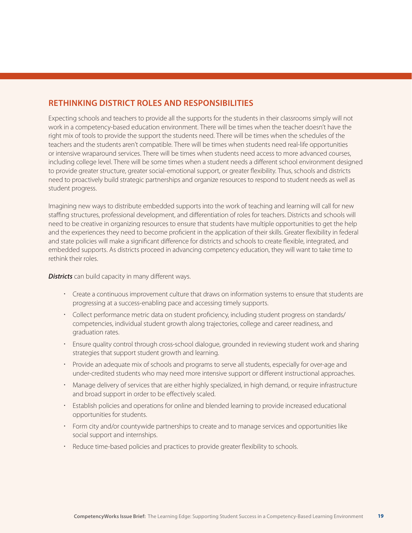### **Rethinking District Roles and Responsibilities**

Expecting schools and teachers to provide all the supports for the students in their classrooms simply will not work in a competency-based education environment. There will be times when the teacher doesn't have the right mix of tools to provide the support the students need. There will be times when the schedules of the teachers and the students aren't compatible. There will be times when students need real-life opportunities or intensive wraparound services. There will be times when students need access to more advanced courses, including college level. There will be some times when a student needs a different school environment designed to provide greater structure, greater social-emotional support, or greater flexibility. Thus, schools and districts need to proactively build strategic partnerships and organize resources to respond to student needs as well as student progress.

Imagining new ways to distribute embedded supports into the work of teaching and learning will call for new staffing structures, professional development, and differentiation of roles for teachers. Districts and schools will need to be creative in organizing resources to ensure that students have multiple opportunities to get the help and the experiences they need to become proficient in the application of their skills. Greater flexibility in federal and state policies will make a significant difference for districts and schools to create flexible, integrated, and embedded supports. As districts proceed in advancing competency education, they will want to take time to rethink their roles.

*Districts* can build capacity in many different ways.

- Create a continuous improvement culture that draws on information systems to ensure that students are progressing at a success-enabling pace and accessing timely supports.
- Collect performance metric data on student proficiency, including student progress on standards/ competencies, individual student growth along trajectories, college and career readiness, and graduation rates.
- Ensure quality control through cross-school dialogue, grounded in reviewing student work and sharing strategies that support student growth and learning.
- Provide an adequate mix of schools and programs to serve all students, especially for over-age and under-credited students who may need more intensive support or different instructional approaches.
- Manage delivery of services that are either highly specialized, in high demand, or require infrastructure and broad support in order to be effectively scaled.
- Establish policies and operations for online and blended learning to provide increased educational opportunities for students.
- Form city and/or countywide partnerships to create and to manage services and opportunities like social support and internships.
- Reduce time-based policies and practices to provide greater flexibility to schools.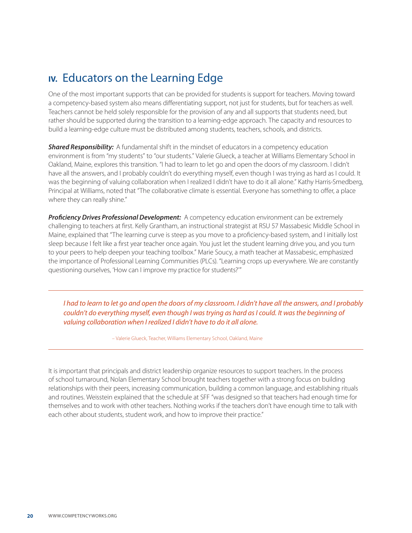# **IV.** Educators on the Learning Edge

One of the most important supports that can be provided for students is support for teachers. Moving toward a competency-based system also means differentiating support, not just for students, but for teachers as well. Teachers cannot be held solely responsible for the provision of any and all supports that students need, but rather should be supported during the transition to a learning-edge approach. The capacity and resources to build a learning-edge culture must be distributed among students, teachers, schools, and districts.

**Shared Responsibility:** A fundamental shift in the mindset of educators in a competency education environment is from "my students" to "our students." Valerie Glueck, a teacher at Williams Elementary School in Oakland, Maine, explores this transition. "I had to learn to let go and open the doors of my classroom. I didn't have all the answers, and I probably couldn't do everything myself, even though I was trying as hard as I could. It was the beginning of valuing collaboration when I realized I didn't have to do it all alone." Kathy Harris-Smedberg, Principal at Williams, noted that "The collaborative climate is essential. Everyone has something to offer, a place where they can really shine."

*Proficiency Drives Professional Development:* A competency education environment can be extremely challenging to teachers at first. Kelly Grantham, an instructional strategist at RSU 57 Massabesic Middle School in Maine, explained that "The learning curve is steep as you move to a proficiency-based system, and I initially lost sleep because I felt like a first year teacher once again. You just let the student learning drive you, and you turn to your peers to help deepen your teaching toolbox." Marie Soucy, a math teacher at Massabesic, emphasized the importance of Professional Learning Communities (PLCs). "Learning crops up everywhere. We are constantly questioning ourselves, 'How can I improve my practice for students?'"

*I had to learn to let go and open the doors of my classroom. I didn't have all the answers, and I probably couldn't do everything myself, even though I was trying as hard as I could. It was the beginning of valuing collaboration when I realized I didn't have to do it all alone.* 

– Valerie Glueck, Teacher, Williams Elementary School, Oakland, Maine

It is important that principals and district leadership organize resources to support teachers. In the process of school turnaround, Nolan Elementary School brought teachers together with a strong focus on building relationships with their peers, increasing communication, building a common language, and establishing rituals and routines. Weisstein explained that the schedule at SFF "was designed so that teachers had enough time for themselves and to work with other teachers. Nothing works if the teachers don't have enough time to talk with each other about students, student work, and how to improve their practice."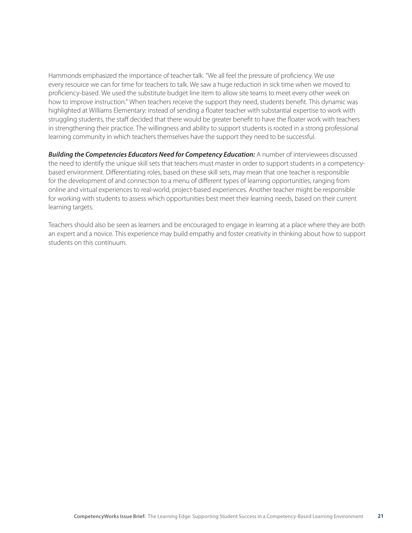Hammonds emphasized the importance of teacher talk. "We all feel the pressure of proficiency. We use every resource we can for time for teachers to talk. We saw a huge reduction in sick time when we moved to proficiency-based. We used the substitute budget line item to allow site teams to meet every other week on how to improve instruction." When teachers receive the support they need, students benefit. This dynamic was highlighted at Williams Elementary: instead of sending a floater teacher with substantial expertise to work with struggling students, the staff decided that there would be greater benefit to have the floater work with teachers in strengthening their practice. The willingness and ability to support students is rooted in a strong professional learning community in which teachers themselves have the support they need to be successful.

*Building the Competencies Educators Need for Competency Education:* A number of interviewees discussed the need to identify the unique skill sets that teachers must master in order to support students in a competencybased environment. Differentiating roles, based on these skill sets, may mean that one teacher is responsible for the development of and connection to a menu of different types of learning opportunities, ranging from online and virtual experiences to real-world, project-based experiences. Another teacher might be responsible for working with students to assess which opportunities best meet their learning needs, based on their current learning targets.

Teachers should also be seen as learners and be encouraged to engage in learning at a place where they are both an expert and a novice. This experience may build empathy and foster creativity in thinking about how to support students on this continuum.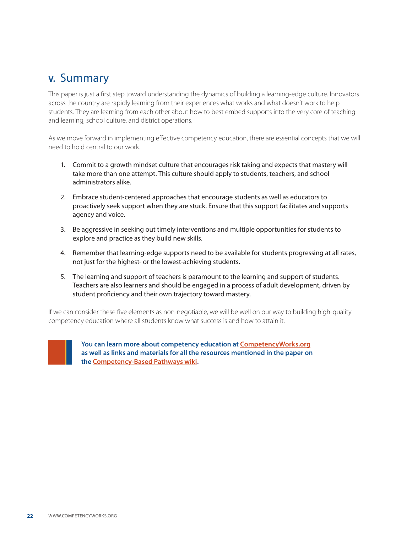# **V.** Summary

This paper is just a first step toward understanding the dynamics of building a learning-edge culture. Innovators across the country are rapidly learning from their experiences what works and what doesn't work to help students. They are learning from each other about how to best embed supports into the very core of teaching and learning, school culture, and district operations.

As we move forward in implementing effective competency education, there are essential concepts that we will need to hold central to our work.

- 1. Commit to a growth mindset culture that encourages risk taking and expects that mastery will take more than one attempt. This culture should apply to students, teachers, and school administrators alike.
- 2. Embrace student-centered approaches that encourage students as well as educators to proactively seek support when they are stuck. Ensure that this support facilitates and supports agency and voice.
- 3. Be aggressive in seeking out timely interventions and multiple opportunities for students to explore and practice as they build new skills.
- 4. Remember that learning-edge supports need to be available for students progressing at all rates, not just for the highest- or the lowest-achieving students.
- 5. The learning and support of teachers is paramount to the learning and support of students. Teachers are also learners and should be engaged in a process of adult development, driven by student proficiency and their own trajectory toward mastery.

If we can consider these five elements as non-negotiable, we will be well on our way to building high-quality competency education where all students know what success is and how to attain it.



**You can learn more about competency education at CompetencyWorks.org as well as links and materials for all the resources mentioned in the paper on the [Competency-Based Pathways wiki.](https://sites.google.com/site/competencybasedpathways/home/art-and-science-of-designing-competencies)**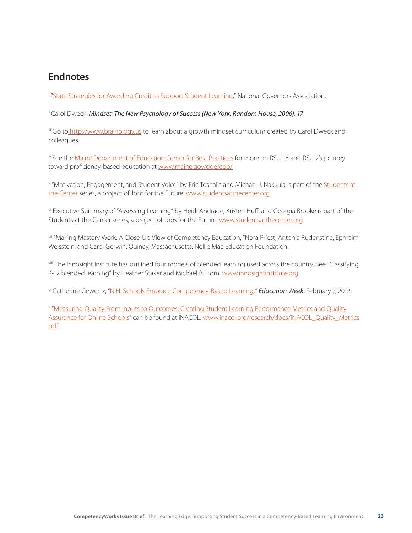## **Endnotes**

<sup>e</sup> "State Strategies for Awarding Credit to Support Student Learning," National Governors Association.

<sup>ii</sup> Carol Dweck, Mindset: The New Psychology of Success (New York: Random House, 2006), 17.

iii Go to <http://www.brainology.us> to learn about a growth mindset curriculum created by Carol Dweck and colleagues.

iv See the [Maine Department of Education Center for Best Practices](http://www.maine.gov/doe/cbp/) for more on RSU 18 and RSU 2's journey toward proficiency-based education at [www.maine.gov/doe/cbp/](http://www.maine.gov/doe/cbp/)

v "Motivation, Engagement, and Student Voice" by Eric Toshalis and Michael J. Nakkula is part of the Students at the Center series, a project of Jobs for the Future. www.studentsatthecenter.org

vi Executive Summary of ["Assessing Learning](http://www.studentsatthecenter.org/papers/assessing-learning)" by Heidi Andrade, Kristen Huff, and Georgia Brooke is part of the [Students at the Center](http://www.studentsatthecenter.org) series, a project of [Jobs for the Future.](http://www.jff.org) www.studentsatthecenter.org

vii "Making Mastery Work: A Close-Up View of Competency Education, "Nora Priest, Antonia Rudenstine, Ephraim Weisstein, and Carol Gerwin. Quincy, Massachusetts: Nellie Mae Education Foundation.

viii The [Innosight Institute](http://www.innosightinstitute.org) has outlined four models of [blended learning](http://www.innosightinstitute.org/media-room/publications/blended-learning) used across the country. See "[Classifying](http://www.innosightinstitute.org/media-room/publications/education-publications/classifying-k-12-blended-learning/)  [K-12 blended learning](http://www.innosightinstitute.org/media-room/publications/education-publications/classifying-k-12-blended-learning/)" by Heather Staker and Michael B. Horn. www.innosightinstitute.org

ix Catherine Gewertz, "[N.H. Schools Embrace Competency-Based Learning](http://www.edweek.org/ew/articles/2012/02/08/20proficiency_ep.h31.html)*," Education Week*, February 7, 2012.

x "Measuring Quality From Inputs to Outcomes: Creating Student Learning Performance Metrics and Quality Assurance for Online Schools" can be found at iNACOL. [www.inacol.org/research/docs/iNACOL\\_Quality\\_Metrics.](file:///C:\Users\Mardelle\Documents\MetisNet\Competency%20Works\www.inacol.org\research\docs\iNACOL_Quality_Metrics.pdf) [pdf](file:///C:\Users\Mardelle\Documents\MetisNet\Competency%20Works\www.inacol.org\research\docs\iNACOL_Quality_Metrics.pdf)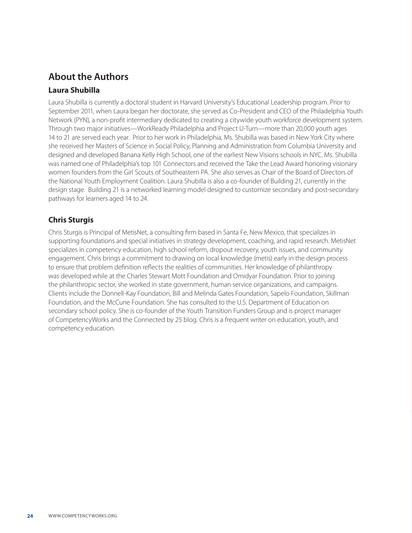# **About the Authors**

## **Laura Shubilla**

Laura Shubilla is currently a doctoral student in Harvard University's Educational Leadership program. Prior to September 2011, when Laura began her doctorate, she served as Co-President and CEO of the Philadelphia Youth Network (PYN), a non-profit intermediary dedicated to creating a citywide youth workforce development system. Through two major initiatives—WorkReady Philadelphia and Project U-Turn—more than 20,000 youth ages 14 to 21 are served each year. Prior to her work in Philadelphia, Ms. Shubilla was based in New York City where she received her Masters of Science in Social Policy, Planning and Administration from Columbia University and designed and developed Banana Kelly High School, one of the earliest New Visions schools in NYC. Ms. Shubilla was named one of Philadelphia's top 101 Connectors and received the Take the Lead Award honoring visionary women founders from the Girl Scouts of Southeastern PA. She also serves as Chair of the Board of Directors of the National Youth Employment Coalition. Laura Shubilla is also a co-founder of Building 21, currently in the design stage. Building 21 is a networked learning model designed to customize secondary and post-secondary pathways for learners aged 14 to 24.

### **Chris Sturgis**

Chris Sturgis is Principal of MetisNet, a consulting firm based in Santa Fe, New Mexico, that specializes in supporting foundations and special initiatives in strategy development, coaching, and rapid research. MetisNet specializes in competency education, high school reform, dropout recovery, youth issues, and community engagement. Chris brings a commitment to drawing on local knowledge (metis) early in the design process to ensure that problem definition reflects the realities of communities. Her knowledge of philanthropy was developed while at the Charles Stewart Mott Foundation and Omidyar Foundation. Prior to joining the philanthropic sector, she worked in state government, human service organizations, and campaigns. Clients include the Donnell-Kay Foundation, Bill and Melinda Gates Foundation, Sapelo Foundation, Skillman Foundation, and the McCune Foundation. She has consulted to the U.S. Department of Education on secondary school policy. She is co-founder of the Youth Transition Funders Group and is project manager of CompetencyWorks and the Connected by 25 blog. Chris is a frequent writer on education, youth, and competency education.